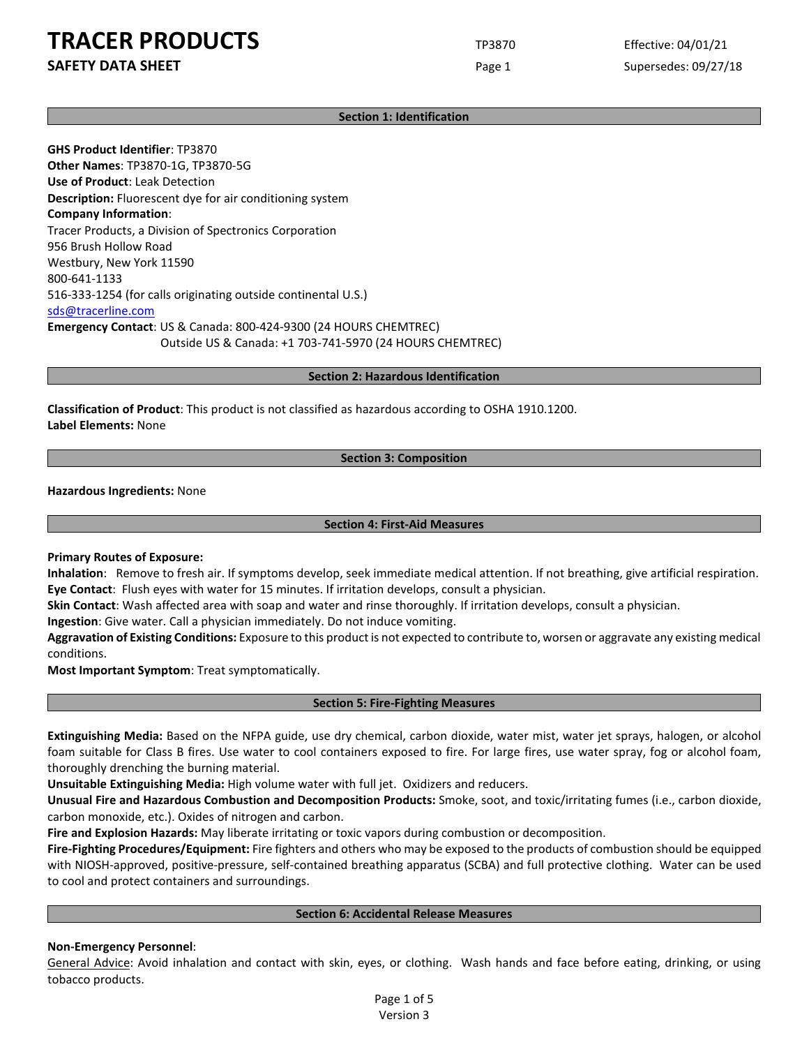**SAFETY DATA SHEET** SUPERFOUR CONSUMING THE Page 1 Supersedes: 09/27/18

## **Section 1: Identification**

**GHS Product Identifier**: TP3870 **Other Names**: TP3870-1G, TP3870-5G **Use of Product**: Leak Detection **Description:** Fluorescent dye for air conditioning system **Company Information**: Tracer Products, a Division of Spectronics Corporation 956 Brush Hollow Road Westbury, New York 11590 800-641-1133 516-333-1254 (for calls originating outside continental U.S.) [sds@tracerline.com](mailto:sds@tracerline.com) **Emergency Contact**: US & Canada: 800-424-9300 (24 HOURS CHEMTREC) Outside US & Canada: +1 703-741-5970 (24 HOURS CHEMTREC)

**Section 2: Hazardous Identification**

**Classification of Product**: This product is not classified as hazardous according to OSHA 1910.1200. **Label Elements:** None

**Section 3: Composition**

**Hazardous Ingredients:** None

**Section 4: First-Aid Measures**

**Primary Routes of Exposure:**

**Inhalation**: Remove to fresh air. If symptoms develop, seek immediate medical attention. If not breathing, give artificial respiration. **Eye Contact**: Flush eyes with water for 15 minutes. If irritation develops, consult a physician.

**Skin Contact**: Wash affected area with soap and water and rinse thoroughly. If irritation develops, consult a physician.

**Ingestion**: Give water. Call a physician immediately. Do not induce vomiting.

**Aggravation of Existing Conditions:** Exposure to this product is not expected to contribute to, worsen or aggravate any existing medical conditions.

**Most Important Symptom**: Treat symptomatically.

## **Section 5: Fire-Fighting Measures**

**Extinguishing Media:** Based on the NFPA guide, use dry chemical, carbon dioxide, water mist, water jet sprays, halogen, or alcohol foam suitable for Class B fires. Use water to cool containers exposed to fire. For large fires, use water spray, fog or alcohol foam, thoroughly drenching the burning material.

**Unsuitable Extinguishing Media:** High volume water with full jet. Oxidizers and reducers.

**Unusual Fire and Hazardous Combustion and Decomposition Products:** Smoke, soot, and toxic/irritating fumes (i.e., carbon dioxide, carbon monoxide, etc.). Oxides of nitrogen and carbon.

**Fire and Explosion Hazards:** May liberate irritating or toxic vapors during combustion or decomposition.

**Fire-Fighting Procedures/Equipment:** Fire fighters and others who may be exposed to the products of combustion should be equipped with NIOSH-approved, positive-pressure, self-contained breathing apparatus (SCBA) and full protective clothing. Water can be used to cool and protect containers and surroundings.

#### **Section 6: Accidental Release Measures**

#### **Non-Emergency Personnel**:

General Advice: Avoid inhalation and contact with skin, eyes, or clothing. Wash hands and face before eating, drinking, or using tobacco products.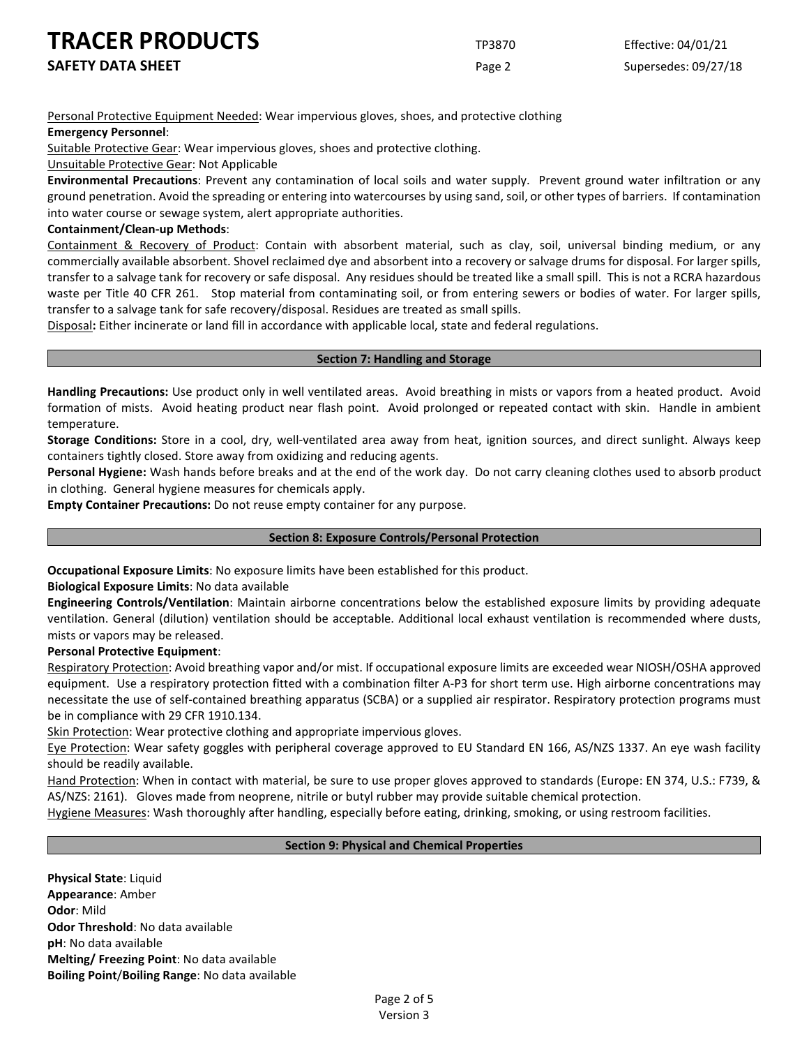**SAFETY DATA SHEET** SUPERFOUR CONSIDERING Page 2 Supersedes: 09/27/18

Personal Protective Equipment Needed: Wear impervious gloves, shoes, and protective clothing

## **Emergency Personnel**:

Suitable Protective Gear: Wear impervious gloves, shoes and protective clothing.

Unsuitable Protective Gear: Not Applicable

**Environmental Precautions**: Prevent any contamination of local soils and water supply. Prevent ground water infiltration or any ground penetration. Avoid the spreading or entering into watercourses by using sand, soil, or other types of barriers. If contamination into water course or sewage system, alert appropriate authorities.

## **Containment/Clean-up Methods**:

Containment & Recovery of Product: Contain with absorbent material, such as clay, soil, universal binding medium, or any commercially available absorbent. Shovel reclaimed dye and absorbent into a recovery or salvage drums for disposal. For larger spills, transfer to a salvage tank for recovery or safe disposal. Any residues should be treated like a small spill. This is not a RCRA hazardous waste per Title 40 CFR 261. Stop material from contaminating soil, or from entering sewers or bodies of water. For larger spills, transfer to a salvage tank for safe recovery/disposal. Residues are treated as small spills.

Disposal**:** Either incinerate or land fill in accordance with applicable local, state and federal regulations.

## **Section 7: Handling and Storage**

**Handling Precautions:** Use product only in well ventilated areas. Avoid breathing in mists or vapors from a heated product. Avoid formation of mists. Avoid heating product near flash point. Avoid prolonged or repeated contact with skin. Handle in ambient temperature.

**Storage Conditions:** Store in a cool, dry, well-ventilated area away from heat, ignition sources, and direct sunlight. Always keep containers tightly closed. Store away from oxidizing and reducing agents.

**Personal Hygiene:** Wash hands before breaks and at the end of the work day. Do not carry cleaning clothes used to absorb product in clothing. General hygiene measures for chemicals apply.

**Empty Container Precautions:** Do not reuse empty container for any purpose.

## **Section 8: Exposure Controls/Personal Protection**

**Occupational Exposure Limits**: No exposure limits have been established for this product.

**Biological Exposure Limits**: No data available

**Engineering Controls/Ventilation**: Maintain airborne concentrations below the established exposure limits by providing adequate ventilation. General (dilution) ventilation should be acceptable. Additional local exhaust ventilation is recommended where dusts, mists or vapors may be released.

## **Personal Protective Equipment**:

Respiratory Protection: Avoid breathing vapor and/or mist. If occupational exposure limits are exceeded wear NIOSH/OSHA approved equipment. Use a respiratory protection fitted with a combination filter A-P3 for short term use. High airborne concentrations may necessitate the use of self-contained breathing apparatus (SCBA) or a supplied air respirator. Respiratory protection programs must be in compliance with 29 CFR 1910.134.

Skin Protection: Wear protective clothing and appropriate impervious gloves.

Eye Protection: Wear safety goggles with peripheral coverage approved to EU Standard EN 166, AS/NZS 1337. An eye wash facility should be readily available.

Hand Protection: When in contact with material, be sure to use proper gloves approved to standards (Europe: EN 374, U.S.: F739, & AS/NZS: 2161). Gloves made from neoprene, nitrile or butyl rubber may provide suitable chemical protection.

Hygiene Measures: Wash thoroughly after handling, especially before eating, drinking, smoking, or using restroom facilities.

## **Section 9: Physical and Chemical Properties**

**Physical State**: Liquid **Appearance**: Amber **Odor**: Mild **Odor Threshold**: No data available **pH**: No data available **Melting/ Freezing Point**: No data available **Boiling Point**/**Boiling Range**: No data available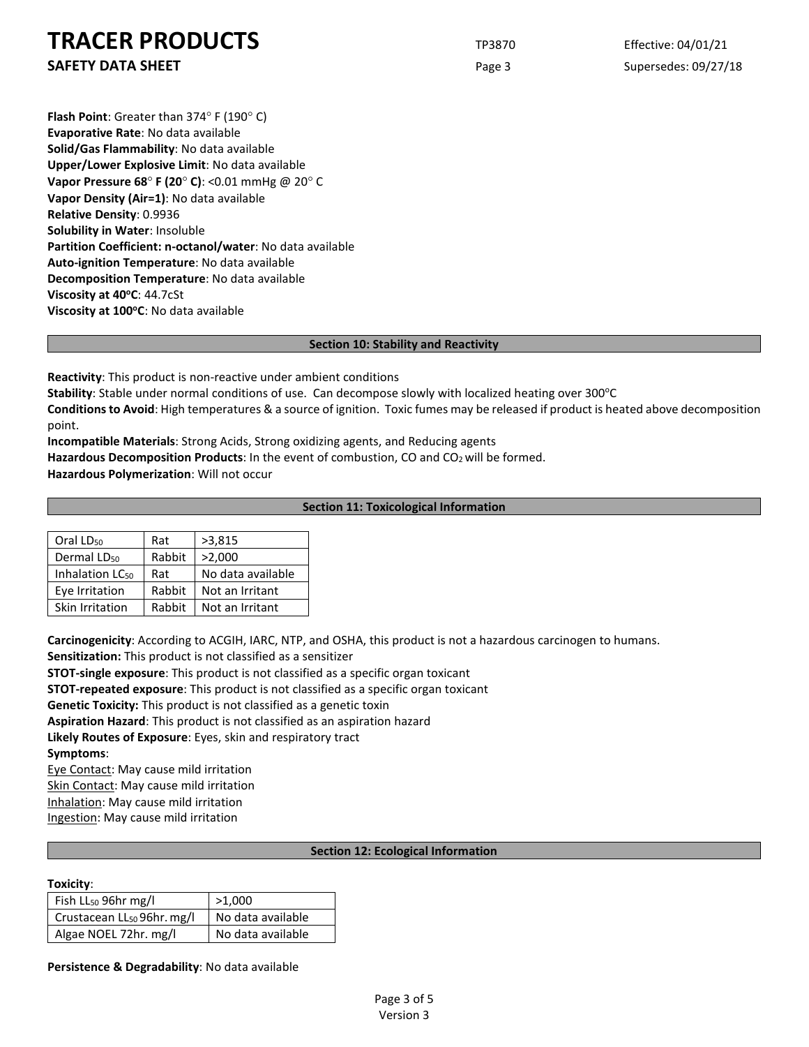**SAFETY DATA SHEET** SUPERFOUR CONSUMING THE Page 3 Supersedes: 09/27/18

**Flash Point**: Greater than 374° F (190° C) **Evaporative Rate**: No data available **Solid/Gas Flammability**: No data available **Upper/Lower Explosive Limit**: No data available **Vapor Pressure 68**° **F (20**° **C)**: <0.01 mmHg @ 20° C **Vapor Density (Air=1)**: No data available **Relative Density**: 0.9936 **Solubility in Water**: Insoluble **Partition Coefficient: n-octanol/water**: No data available **Auto-ignition Temperature**: No data available **Decomposition Temperature**: No data available **Viscosity at 40°C: 44.7cSt** Viscosity at 100°C: No data available

#### **Section 10: Stability and Reactivity**

**Reactivity**: This product is non-reactive under ambient conditions

Stability: Stable under normal conditions of use. Can decompose slowly with localized heating over 300°C

**Conditions to Avoid**: High temperatures & a source of ignition. Toxic fumes may be released if product is heated above decomposition point.

**Incompatible Materials**: Strong Acids, Strong oxidizing agents, and Reducing agents

Hazardous Decomposition Products: In the event of combustion, CO and CO<sub>2</sub> will be formed.

**Hazardous Polymerization**: Will not occur

## **Section 11: Toxicological Information**

| Oral LD <sub>50</sub>       | Rat    | >3,815            |
|-----------------------------|--------|-------------------|
| Dermal LD <sub>50</sub>     | Rabbit | >2,000            |
| Inhalation LC <sub>50</sub> | Rat    | No data available |
| Eye Irritation              | Rabbit | Not an Irritant   |
| Skin Irritation             | Rabbit | Not an Irritant   |

**Carcinogenicity**: According to ACGIH, IARC, NTP, and OSHA, this product is not a hazardous carcinogen to humans.

**Sensitization:** This product is not classified as a sensitizer

**STOT-single exposure**: This product is not classified as a specific organ toxicant

**STOT-repeated exposure**: This product is not classified as a specific organ toxicant

**Genetic Toxicity:** This product is not classified as a genetic toxin

**Aspiration Hazard**: This product is not classified as an aspiration hazard

**Likely Routes of Exposure**: Eyes, skin and respiratory tract

## **Symptoms**:

Eye Contact: May cause mild irritation

Skin Contact: May cause mild irritation

Inhalation: May cause mild irritation

Ingestion: May cause mild irritation

## **Section 12: Ecological Information**

#### **Toxicity**:

| Fish LL <sub>50</sub> 96hr mg/l        | >1,000            |  |
|----------------------------------------|-------------------|--|
| Crustacean LL <sub>50</sub> 96hr. mg/l | No data available |  |
| Algae NOEL 72hr. mg/l                  | No data available |  |

**Persistence & Degradability**: No data available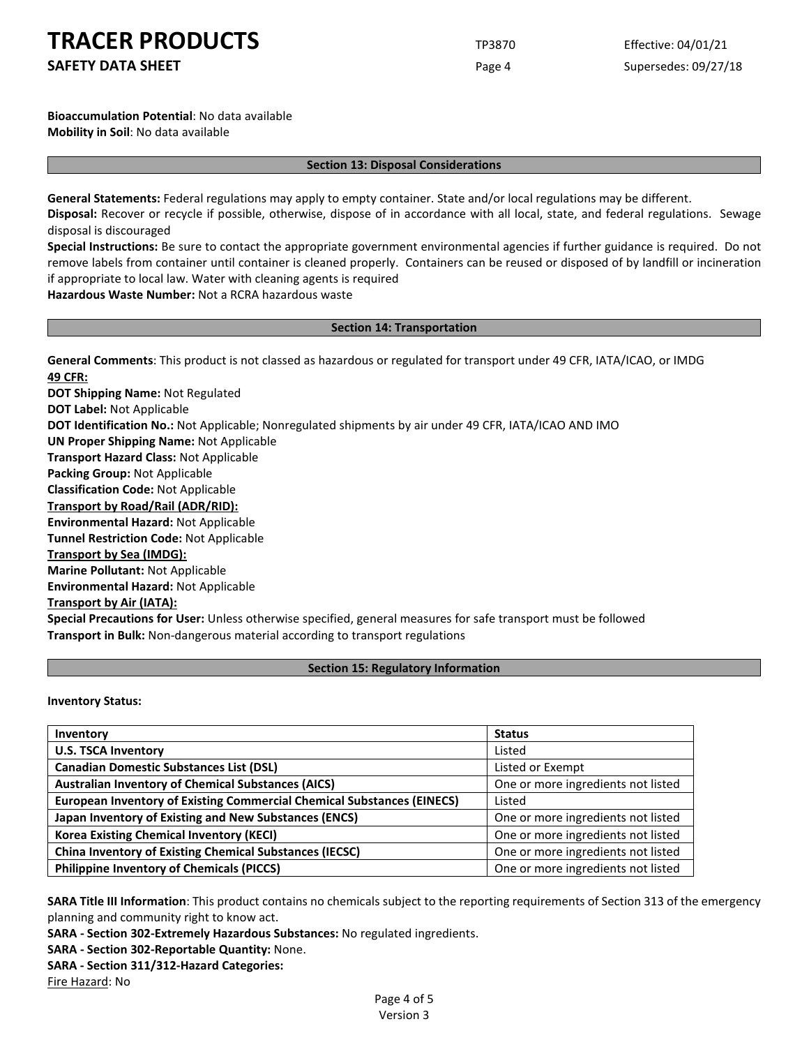**SAFETY DATA SHEET** SUPERFOUR Page 4 Supersedes: 09/27/18

**Bioaccumulation Potential**: No data available **Mobility in Soil**: No data available

#### **Section 13: Disposal Considerations**

**General Statements:** Federal regulations may apply to empty container. State and/or local regulations may be different.

**Disposal:** Recover or recycle if possible, otherwise, dispose of in accordance with all local, state, and federal regulations. Sewage disposal is discouraged

**Special Instructions:** Be sure to contact the appropriate government environmental agencies if further guidance is required. Do not remove labels from container until container is cleaned properly. Containers can be reused or disposed of by landfill or incineration if appropriate to local law. Water with cleaning agents is required

**Hazardous Waste Number:** Not a RCRA hazardous waste

## **Section 14: Transportation**

**General Comments**: This product is not classed as hazardous or regulated for transport under 49 CFR, IATA/ICAO, or IMDG **49 CFR:**

**DOT Shipping Name:** Not Regulated **DOT Label:** Not Applicable **DOT Identification No.:** Not Applicable; Nonregulated shipments by air under 49 CFR, IATA/ICAO AND IMO **UN Proper Shipping Name:** Not Applicable **Transport Hazard Class:** Not Applicable **Packing Group:** Not Applicable **Classification Code:** Not Applicable **Transport by Road/Rail (ADR/RID): Environmental Hazard:** Not Applicable **Tunnel Restriction Code:** Not Applicable **Transport by Sea (IMDG): Marine Pollutant:** Not Applicable **Environmental Hazard:** Not Applicable **Transport by Air (IATA): Special Precautions for User:** Unless otherwise specified, general measures for safe transport must be followed **Transport in Bulk:** Non-dangerous material according to transport regulations

## **Section 15: Regulatory Information**

**Inventory Status:** 

| Inventory                                                                     | <b>Status</b>                      |
|-------------------------------------------------------------------------------|------------------------------------|
| <b>U.S. TSCA Inventory</b>                                                    | Listed                             |
| <b>Canadian Domestic Substances List (DSL)</b>                                | Listed or Exempt                   |
| <b>Australian Inventory of Chemical Substances (AICS)</b>                     | One or more ingredients not listed |
| <b>European Inventory of Existing Commercial Chemical Substances (EINECS)</b> | Listed                             |
| Japan Inventory of Existing and New Substances (ENCS)                         | One or more ingredients not listed |
| <b>Korea Existing Chemical Inventory (KECI)</b>                               | One or more ingredients not listed |
| <b>China Inventory of Existing Chemical Substances (IECSC)</b>                | One or more ingredients not listed |
| <b>Philippine Inventory of Chemicals (PICCS)</b>                              | One or more ingredients not listed |

**SARA Title III Information**: This product contains no chemicals subject to the reporting requirements of Section 313 of the emergency planning and community right to know act.

**SARA - Section 302-Extremely Hazardous Substances:** No regulated ingredients.

**SARA - Section 302-Reportable Quantity:** None.

**SARA - Section 311/312-Hazard Categories:**

Fire Hazard: No